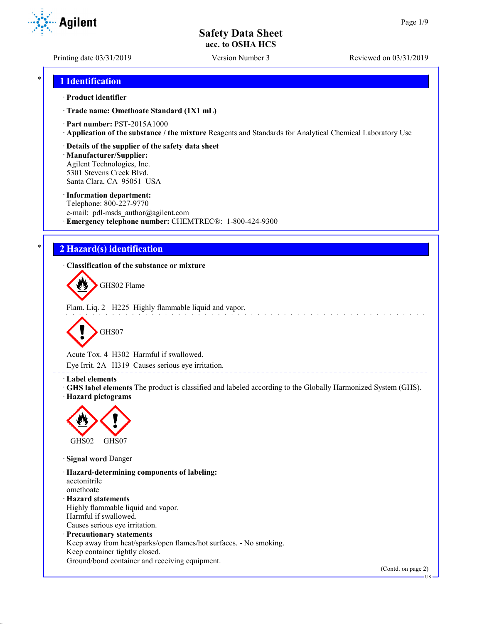**Agilent** 

Printing date 03/31/2019 Version Number 3 Reviewed on 03/31/2019

## \* **1 Identification**

#### · **Product identifier**

· **Trade name: Omethoate Standard (1X1 mL)**

- · **Part number:** PST-2015A1000
- · **Application of the substance / the mixture** Reagents and Standards for Analytical Chemical Laboratory Use
- · **Details of the supplier of the safety data sheet**

· **Manufacturer/Supplier:** Agilent Technologies, Inc. 5301 Stevens Creek Blvd. Santa Clara, CA 95051 USA

#### · **Information department:**

Telephone: 800-227-9770 e-mail: pdl-msds author@agilent.com · **Emergency telephone number:** CHEMTREC®: 1-800-424-9300

# \* **2 Hazard(s) identification**

· **Classification of the substance or mixture**

GHS02 Flame

Flam. Liq. 2 H225 Highly flammable liquid and vapor.



Acute Tox. 4 H302 Harmful if swallowed.

Eye Irrit. 2A H319 Causes serious eye irritation.

#### · **Label elements**

· **GHS label elements** The product is classified and labeled according to the Globally Harmonized System (GHS). · **Hazard pictograms**

\_\_\_\_\_\_\_\_\_\_\_\_\_\_\_\_\_\_\_\_\_\_



· **Signal word** Danger

· **Hazard-determining components of labeling:** acetonitrile omethoate · **Hazard statements** Highly flammable liquid and vapor. Harmful if swallowed. Causes serious eye irritation. · **Precautionary statements** Keep away from heat/sparks/open flames/hot surfaces. - No smoking. Keep container tightly closed. Ground/bond container and receiving equipment.

(Contd. on page 2)

US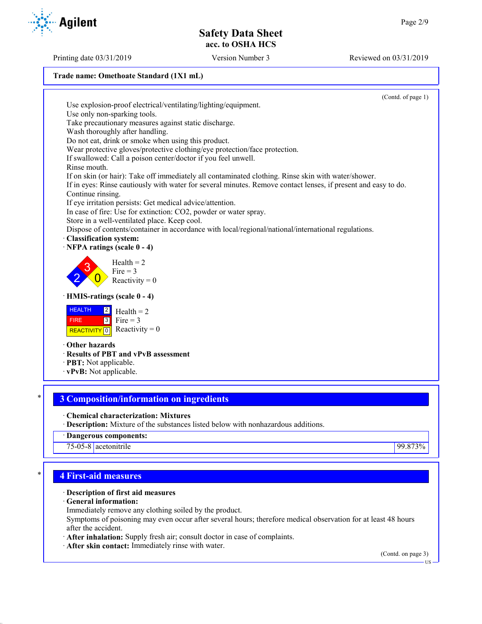Printing date 03/31/2019 Version Number 3 Reviewed on 03/31/2019

## **Trade name: Omethoate Standard (1X1 mL)**



75-05-8 acetonitrile 99.873%

# \* **4 First-aid measures**

#### · **Description of first aid measures**

#### · **General information:**

Immediately remove any clothing soiled by the product.

Symptoms of poisoning may even occur after several hours; therefore medical observation for at least 48 hours after the accident.

- · **After inhalation:** Supply fresh air; consult doctor in case of complaints.
- · **After skin contact:** Immediately rinse with water.

(Contd. on page 3)

US

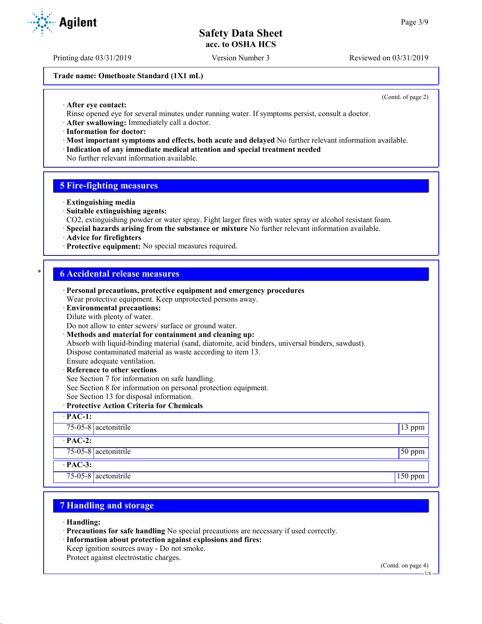Printing date 03/31/2019 Version Number 3 Reviewed on 03/31/2019

#### **Trade name: Omethoate Standard (1X1 mL)**

(Contd. of page 2)

- · **After eye contact:**
- Rinse opened eye for several minutes under running water. If symptoms persist, consult a doctor.
- · **After swallowing:** Immediately call a doctor.
- · **Information for doctor:**
- · **Most important symptoms and effects, both acute and delayed** No further relevant information available. · **Indication of any immediate medical attention and special treatment needed**
- No further relevant information available.

#### **5 Fire-fighting measures**

- · **Extinguishing media**
- · **Suitable extinguishing agents:**
- CO2, extinguishing powder or water spray. Fight larger fires with water spray or alcohol resistant foam.
- · **Special hazards arising from the substance or mixture** No further relevant information available.
- · **Advice for firefighters**
- · **Protective equipment:** No special measures required.

## \* **6 Accidental release measures**

· **Personal precautions, protective equipment and emergency procedures** Wear protective equipment. Keep unprotected persons away. · **Environmental precautions:** Dilute with plenty of water. Do not allow to enter sewers/ surface or ground water. · **Methods and material for containment and cleaning up:** Absorb with liquid-binding material (sand, diatomite, acid binders, universal binders, sawdust). Dispose contaminated material as waste according to item 13. Ensure adequate ventilation. **Reference to other sections** See Section 7 for information on safe handling. See Section 8 for information on personal protection equipment. See Section 13 for disposal information. · **Protective Action Criteria for Chemicals** · **PAC-1:** 75-05-8 acetonitrile 13 ppm · **PAC-2:** 75-05-8 acetonitrile 50 ppm · **PAC-3:** 75-05-8 acetonitrile 150 ppm

# **7 Handling and storage**

- · **Handling:**
- · **Precautions for safe handling** No special precautions are necessary if used correctly.
- · **Information about protection against explosions and fires:**
- Keep ignition sources away Do not smoke.

Protect against electrostatic charges.

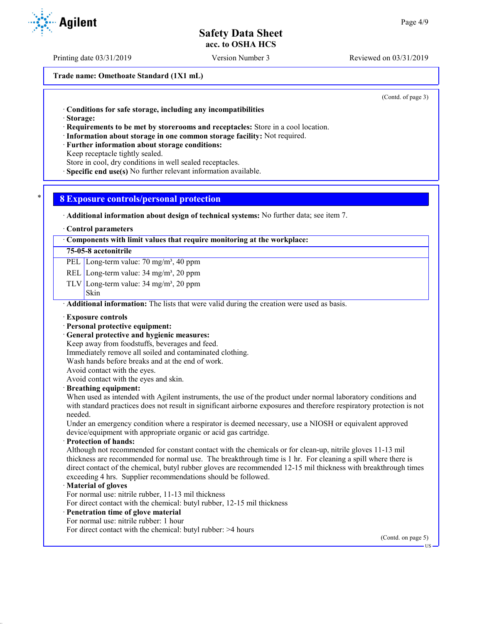**Trade name: Omethoate Standard (1X1 mL)**

(Contd. of page 3)

· **Conditions for safe storage, including any incompatibilities**

· **Storage:**

· **Requirements to be met by storerooms and receptacles:** Store in a cool location.

- · **Information about storage in one common storage facility:** Not required.
- · **Further information about storage conditions:**

Keep receptacle tightly sealed.

Store in cool, dry conditions in well sealed receptacles.

· **Specific end use(s)** No further relevant information available.

### \* **8 Exposure controls/personal protection**

· **Additional information about design of technical systems:** No further data; see item 7.

· **Control parameters**

#### · **Components with limit values that require monitoring at the workplace:**

#### **75-05-8 acetonitrile**

PEL Long-term value: 70 mg/m<sup>3</sup>, 40 ppm

- REL Long-term value: 34 mg/m<sup>3</sup>, 20 ppm
- TLV Long-term value: 34 mg/m<sup>3</sup>, 20 ppm
- Skin

· **Additional information:** The lists that were valid during the creation were used as basis.

#### · **Exposure controls**

#### · **Personal protective equipment:**

· **General protective and hygienic measures:**

Keep away from foodstuffs, beverages and feed.

Immediately remove all soiled and contaminated clothing.

Wash hands before breaks and at the end of work.

Avoid contact with the eyes.

Avoid contact with the eyes and skin.

#### · **Breathing equipment:**

When used as intended with Agilent instruments, the use of the product under normal laboratory conditions and with standard practices does not result in significant airborne exposures and therefore respiratory protection is not needed.

Under an emergency condition where a respirator is deemed necessary, use a NIOSH or equivalent approved device/equipment with appropriate organic or acid gas cartridge.

· **Protection of hands:**

Although not recommended for constant contact with the chemicals or for clean-up, nitrile gloves 11-13 mil thickness are recommended for normal use. The breakthrough time is 1 hr. For cleaning a spill where there is direct contact of the chemical, butyl rubber gloves are recommended 12-15 mil thickness with breakthrough times exceeding 4 hrs. Supplier recommendations should be followed.

#### · **Material of gloves**

For normal use: nitrile rubber, 11-13 mil thickness

For direct contact with the chemical: butyl rubber, 12-15 mil thickness

#### · **Penetration time of glove material**

For normal use: nitrile rubber: 1 hour

For direct contact with the chemical: butyl rubber: >4 hours

(Contd. on page 5)

US

Printing date 03/31/2019 Version Number 3 Reviewed on 03/31/2019



**Agilent**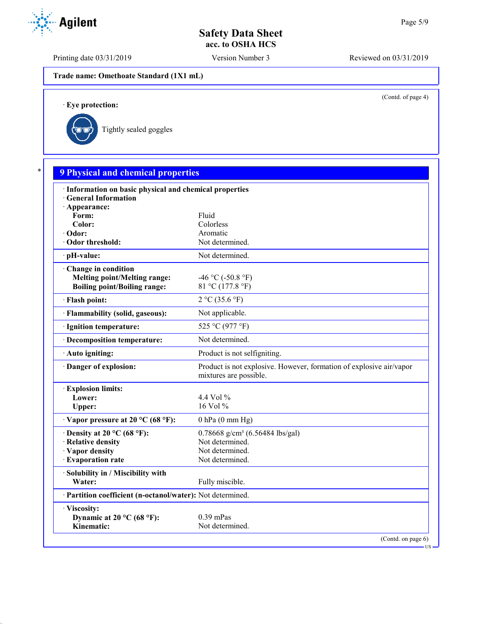Printing date 03/31/2019 Version Number 3 Reviewed on 03/31/2019

**Trade name: Omethoate Standard (1X1 mL)**

(Contd. of page 4)

US

· **Eye protection:**



| · Information on basic physical and chemical properties    |                                                                                               |
|------------------------------------------------------------|-----------------------------------------------------------------------------------------------|
| · General Information                                      |                                                                                               |
| · Appearance:                                              |                                                                                               |
| Form:<br>Color:                                            | Fluid<br>Colorless                                                                            |
| · Odor:                                                    | Aromatic                                                                                      |
| Odor threshold:                                            | Not determined.                                                                               |
| · pH-value:                                                | Not determined.                                                                               |
| Change in condition                                        |                                                                                               |
| <b>Melting point/Melting range:</b>                        | $-46$ °C ( $-50.8$ °F)                                                                        |
| <b>Boiling point/Boiling range:</b>                        | 81 °C (177.8 °F)                                                                              |
| · Flash point:                                             | 2 °C (35.6 °F)                                                                                |
| · Flammability (solid, gaseous):                           | Not applicable.                                                                               |
| · Ignition temperature:                                    | 525 °C (977 °F)                                                                               |
| · Decomposition temperature:                               | Not determined.                                                                               |
| · Auto igniting:                                           | Product is not selfigniting.                                                                  |
| Danger of explosion:                                       | Product is not explosive. However, formation of explosive air/vapor<br>mixtures are possible. |
| <b>Explosion limits:</b>                                   |                                                                                               |
| Lower:                                                     | 4.4 Vol $\%$                                                                                  |
| Upper:                                                     | 16 Vol %                                                                                      |
| $\cdot$ Vapor pressure at 20 °C (68 °F):                   | $0$ hPa $(0$ mm Hg)                                                                           |
| $\cdot$ Density at 20 °C (68 °F):                          | $0.78668$ g/cm <sup>3</sup> (6.56484 lbs/gal)                                                 |
| · Relative density                                         | Not determined.                                                                               |
| · Vapor density                                            | Not determined.                                                                               |
| · Evaporation rate                                         | Not determined.                                                                               |
| · Solubility in / Miscibility with                         |                                                                                               |
| Water:                                                     | Fully miscible.                                                                               |
| · Partition coefficient (n-octanol/water): Not determined. |                                                                                               |
| · Viscosity:                                               |                                                                                               |
| Dynamic at 20 °C (68 °F):                                  | $0.39$ mPas                                                                                   |

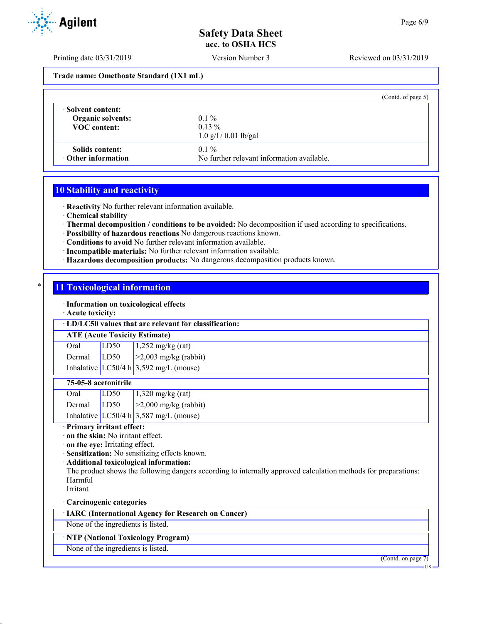Printing date 03/31/2019 Version Number 3 Reviewed on 03/31/2019

**Trade name: Omethoate Standard (1X1 mL)**

|                          | (Cond. of page 5)                          |
|--------------------------|--------------------------------------------|
| · Solvent content:       | $0.1\%$                                    |
| <b>Organic solvents:</b> | $0.13\%$                                   |
| <b>VOC</b> content:      | $1.0$ g/l / 0.01 lb/gal                    |
| Solids content:          | $0.1\%$                                    |
| Other information        | No further relevant information available. |

## **10 Stability and reactivity**

· **Reactivity** No further relevant information available.

· **Chemical stability**

- · **Thermal decomposition / conditions to be avoided:** No decomposition if used according to specifications.
- · **Possibility of hazardous reactions** No dangerous reactions known.
- · **Conditions to avoid** No further relevant information available.
- · **Incompatible materials:** No further relevant information available.
- · **Hazardous decomposition products:** No dangerous decomposition products known.

## **11 Toxicological information**

· **Information on toxicological effects**

#### · **Acute toxicity:**

| LD/LC50 values that are relevant for classification: |  |
|------------------------------------------------------|--|
| <b>ATE</b> (Acute Toxicity Estimate)                 |  |

| Oral   | LD <sub>50</sub> | $1,252$ mg/kg (rat)                    |
|--------|------------------|----------------------------------------|
| Dermal | LD50             | $\vert$ >2,003 mg/kg (rabbit)          |
|        |                  | Inhalative LC50/4 h 3,592 mg/L (mouse) |

#### **75-05-8 acetonitrile**

| Oral   | LD50 | $1,320$ mg/kg (rat)                    |
|--------|------|----------------------------------------|
| Dermal | LD50 | $\vert$ >2,000 mg/kg (rabbit)          |
|        |      | Inhalative LC50/4 h 3,587 mg/L (mouse) |

#### · **Primary irritant effect:**

· **on the skin:** No irritant effect.

· **on the eye:** Irritating effect.

· **Sensitization:** No sensitizing effects known.

#### · **Additional toxicological information:**

The product shows the following dangers according to internally approved calculation methods for preparations: Harmful

Irritant

· **Carcinogenic categories**

· **IARC (International Agency for Research on Cancer)**

None of the ingredients is listed.

## · **NTP (National Toxicology Program)**

None of the ingredients is listed.

(Contd. on page 7)

US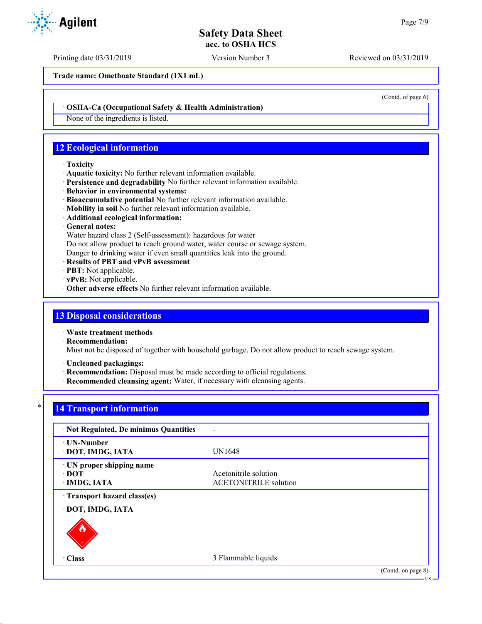Printing date 03/31/2019 Version Number 3 Reviewed on 03/31/2019

**Trade name: Omethoate Standard (1X1 mL)**

(Contd. of page 6)

US

#### · **OSHA-Ca (Occupational Safety & Health Administration)**

None of the ingredients is listed.

# **12 Ecological information**

#### · **Toxicity**

- · **Aquatic toxicity:** No further relevant information available.
- · **Persistence and degradability** No further relevant information available.
- · **Behavior in environmental systems:**
- · **Bioaccumulative potential** No further relevant information available.
- · **Mobility in soil** No further relevant information available.
- · **Additional ecological information:**

## · **General notes:**

Water hazard class 2 (Self-assessment): hazardous for water

Do not allow product to reach ground water, water course or sewage system.

Danger to drinking water if even small quantities leak into the ground.

- · **Results of PBT and vPvB assessment**
- · **PBT:** Not applicable.
- · **vPvB:** Not applicable.
- · **Other adverse effects** No further relevant information available.

## **13 Disposal considerations**

· **Waste treatment methods**

· **Recommendation:**

Must not be disposed of together with household garbage. Do not allow product to reach sewage system.

- · **Uncleaned packagings:**
- · **Recommendation:** Disposal must be made according to official regulations.
- · **Recommended cleansing agent:** Water, if necessary with cleansing agents.

# **14 Transport information**

| · Not Regulated, De minimus Quantities             |                                                       |                    |
|----------------------------------------------------|-------------------------------------------------------|--------------------|
| · UN-Number<br>· DOT, IMDG, IATA                   | UN1648                                                |                    |
| · UN proper shipping name<br>∙ DOT<br>· IMDG, IATA | Acetonitrile solution<br><b>ACETONITRILE</b> solution |                    |
| Transport hazard class(es)                         |                                                       |                    |
| · DOT, IMDG, IATA                                  |                                                       |                    |
|                                                    |                                                       |                    |
| · Class                                            | 3 Flammable liquids                                   |                    |
|                                                    |                                                       | (Contd. on page 8) |

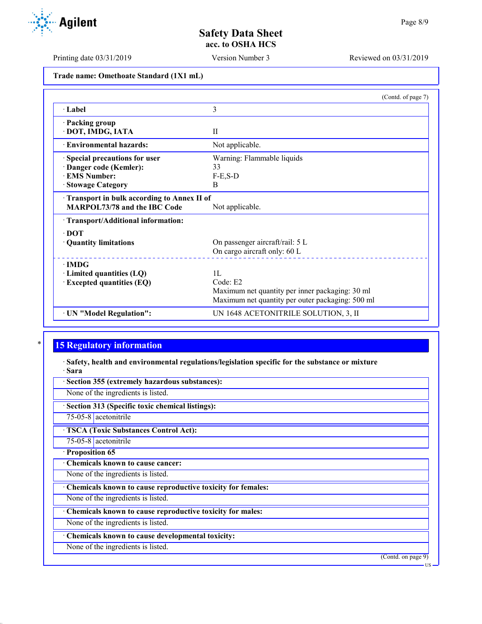Printing date 03/31/2019 Version Number 3 Reviewed on 03/31/2019

**Trade name: Omethoate Standard (1X1 mL)**

|                                              | (Contd. of page 7)                               |
|----------------------------------------------|--------------------------------------------------|
| · Label                                      | 3                                                |
| · Packing group                              |                                                  |
| · DOT, IMDG, IATA                            | $\mathbf{I}$                                     |
| <b>Environmental hazards:</b>                | Not applicable.                                  |
| Special precautions for user                 | Warning: Flammable liquids                       |
| Danger code (Kemler):                        | 33                                               |
| <b>EMS Number:</b>                           | $F-E$ , $S-D$                                    |
| · Stowage Category                           | <sub>B</sub>                                     |
| · Transport in bulk according to Annex II of |                                                  |
| <b>MARPOL73/78 and the IBC Code</b>          | Not applicable.                                  |
| · Transport/Additional information:          |                                                  |
| $\cdot$ DOT                                  |                                                  |
| · Quantity limitations                       | On passenger aircraft/rail: 5 L                  |
|                                              | On cargo aircraft only: 60 L                     |
| $\cdot$ IMDG                                 |                                                  |
| $\cdot$ Limited quantities (LQ)              | 1L                                               |
| <b>Excepted quantities (EQ)</b>              | Code: E2                                         |
|                                              | Maximum net quantity per inner packaging: 30 ml  |
|                                              | Maximum net quantity per outer packaging: 500 ml |
| · UN "Model Regulation":                     | UN 1648 ACETONITRILE SOLUTION, 3, II             |

# **15 Regulatory information**

· **Safety, health and environmental regulations/legislation specific for the substance or mixture** · **Sara**

· **Section 355 (extremely hazardous substances):**

None of the ingredients is listed.

· **Section 313 (Specific toxic chemical listings):**

75-05-8 acetonitrile

· **TSCA (Toxic Substances Control Act):**

75-05-8 acetonitrile

· **Proposition 65**

· **Chemicals known to cause cancer:**

None of the ingredients is listed.

· **Chemicals known to cause reproductive toxicity for females:**

None of the ingredients is listed.

· **Chemicals known to cause reproductive toxicity for males:**

None of the ingredients is listed.

· **Chemicals known to cause developmental toxicity:**

None of the ingredients is listed.

(Contd. on page 9)



US